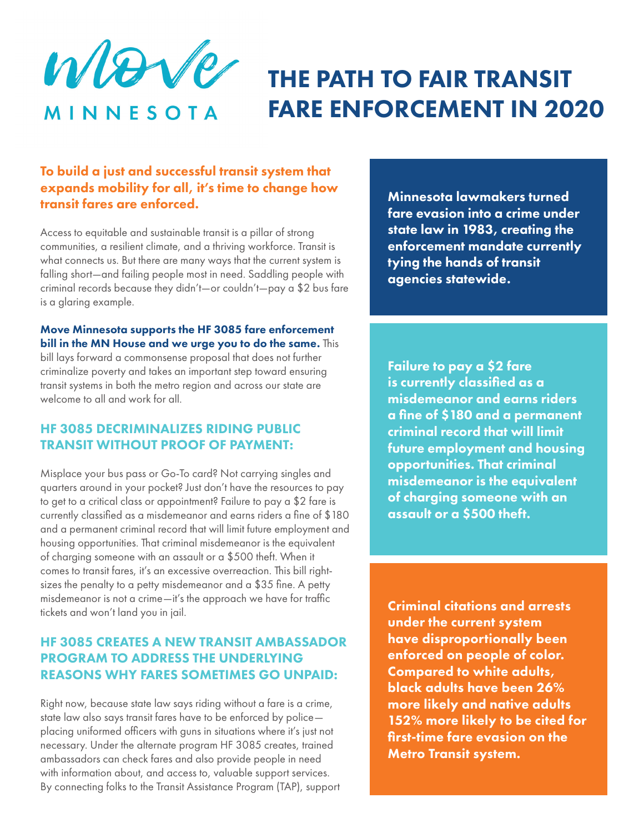Wer MINNESOTA

# THE PATH TO FAIR TRANSIT FARE ENFORCEMENT IN 2020

## To build a just and successful transit system that expands mobility for all, it's time to change how transit fares are enforced.

Access to equitable and sustainable transit is a pillar of strong communities, a resilient climate, and a thriving workforce. Transit is what connects us. But there are many ways that the current system is falling short—and failing people most in need. Saddling people with criminal records because they didn't—or couldn't—pay a \$2 bus fare is a glaring example.

#### Move Minnesota supports the HF 3085 fare enforcement bill in the MN House and we urge you to do the same. This

bill lays forward a commonsense proposal that does not further criminalize poverty and takes an important step toward ensuring transit systems in both the metro region and across our state are welcome to all and work for all.

# HF 3085 DECRIMINALIZES RIDING PUBLIC TRANSIT WITHOUT PROOF OF PAYMENT:

Misplace your bus pass or Go-To card? Not carrying singles and quarters around in your pocket? Just don't have the resources to pay to get to a critical class or appointment? Failure to pay a \$2 fare is currently classified as a misdemeanor and earns riders a fine of \$180 and a permanent criminal record that will limit future employment and housing opportunities. That criminal misdemeanor is the equivalent of charging someone with an assault or a \$500 theft. When it comes to transit fares, it's an excessive overreaction. This bill rightsizes the penalty to a petty misdemeanor and a \$35 fine. A petty misdemeanor is not a crime—it's the approach we have for traffic tickets and won't land you in jail.

## HF 3085 CREATES A NEW TRANSIT AMBASSADOR PROGRAM TO ADDRESS THE UNDERLYING REASONS WHY FARES SOMETIMES GO UNPAID:

Right now, because state law says riding without a fare is a crime, state law also says transit fares have to be enforced by police placing uniformed officers with guns in situations where it's just not necessary. Under the alternate program HF 3085 creates, trained ambassadors can check fares and also provide people in need with information about, and access to, valuable support services. By connecting folks to the Transit Assistance Program (TAP), support Minnesota lawmakers turned fare evasion into a crime under state law in 1983, creating the enforcement mandate currently tying the hands of transit agencies statewide.

Failure to pay a \$2 fare is currently classified as a misdemeanor and earns riders a fine of \$180 and a permanent criminal record that will limit future employment and housing opportunities. That criminal misdemeanor is the equivalent of charging someone with an assault or a \$500 theft.

Criminal citations and arrests under the current system have disproportionally been enforced on people of color. Compared to white adults, black adults have been 26% more likely and native adults 152% more likely to be cited for first-time fare evasion on the Metro Transit system.